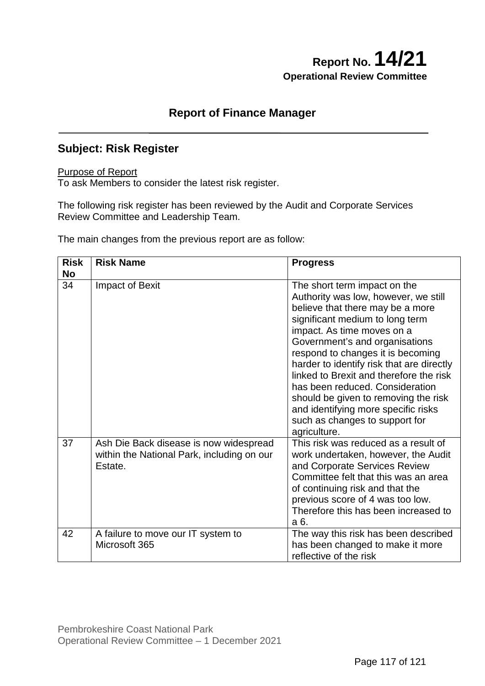# **Report No. 14/21 Operational Review Committee**

### **Report of Finance Manager**

# **Subject: Risk Register**

#### Purpose of Report

To ask Members to consider the latest risk register.

The following risk register has been reviewed by the Audit and Corporate Services Review Committee and Leadership Team.

The main changes from the previous report are as follow:

| <b>Risk</b><br><b>No</b> | <b>Risk Name</b>                                                                                | <b>Progress</b>                                                                                                                                                                                                                                                                                                                                                                                                                                                                                              |
|--------------------------|-------------------------------------------------------------------------------------------------|--------------------------------------------------------------------------------------------------------------------------------------------------------------------------------------------------------------------------------------------------------------------------------------------------------------------------------------------------------------------------------------------------------------------------------------------------------------------------------------------------------------|
| 34                       | <b>Impact of Bexit</b>                                                                          | The short term impact on the<br>Authority was low, however, we still<br>believe that there may be a more<br>significant medium to long term<br>impact. As time moves on a<br>Government's and organisations<br>respond to changes it is becoming<br>harder to identify risk that are directly<br>linked to Brexit and therefore the risk<br>has been reduced. Consideration<br>should be given to removing the risk<br>and identifying more specific risks<br>such as changes to support for<br>agriculture. |
| 37                       | Ash Die Back disease is now widespread<br>within the National Park, including on our<br>Estate. | This risk was reduced as a result of<br>work undertaken, however, the Audit<br>and Corporate Services Review<br>Committee felt that this was an area<br>of continuing risk and that the<br>previous score of 4 was too low.<br>Therefore this has been increased to<br>a 6.                                                                                                                                                                                                                                  |
| 42                       | A failure to move our IT system to<br>Microsoft 365                                             | The way this risk has been described<br>has been changed to make it more<br>reflective of the risk                                                                                                                                                                                                                                                                                                                                                                                                           |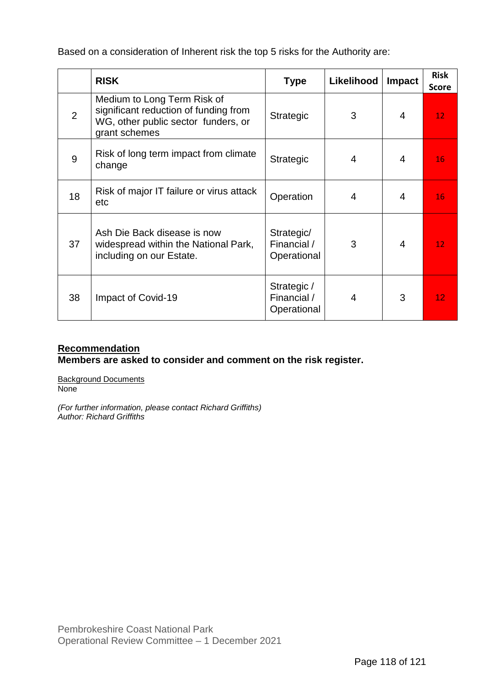Based on a consideration of Inherent risk the top 5 risks for the Authority are:

|    | <b>RISK</b>                                                                                                                  | <b>Type</b>                               | Likelihood     | <b>Impact</b>  | <b>Risk</b><br><b>Score</b> |
|----|------------------------------------------------------------------------------------------------------------------------------|-------------------------------------------|----------------|----------------|-----------------------------|
| 2  | Medium to Long Term Risk of<br>significant reduction of funding from<br>WG, other public sector funders, or<br>grant schemes | <b>Strategic</b>                          | 3              | 4              | 12 <sub>1</sub>             |
| 9  | Risk of long term impact from climate<br>change                                                                              | <b>Strategic</b>                          | 4              | 4              | 16                          |
| 18 | Risk of major IT failure or virus attack<br>etc                                                                              | Operation                                 | $\overline{4}$ | 4              | 16                          |
| 37 | Ash Die Back disease is now<br>widespread within the National Park,<br>including on our Estate.                              | Strategic/<br>Financial /<br>Operational  | 3              | $\overline{4}$ | 12 <sub>1</sub>             |
| 38 | Impact of Covid-19                                                                                                           | Strategic /<br>Financial /<br>Operational | 4              | 3              | 12.                         |

### **Recommendation**

**Members are asked to consider and comment on the risk register.**

Background Documents None

*(For further information, please contact Richard Griffiths) Author: Richard Griffiths*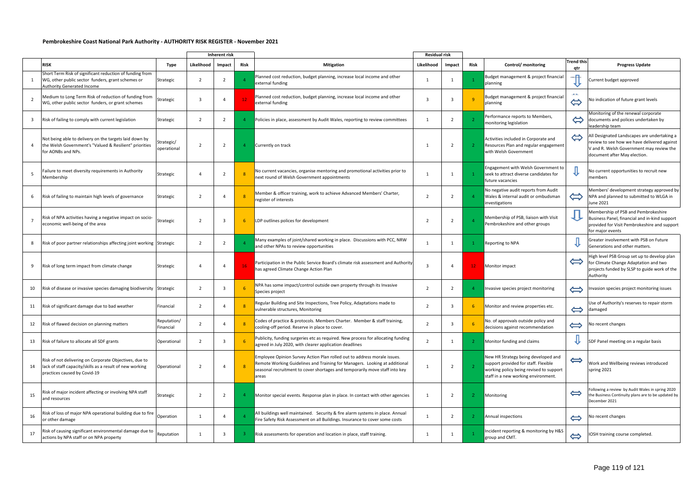#### **Pembrokeshire Coast National Park Authority - AUTHORITY RISK REGISTER - November 2021**

|    |                                                                                                                                                    |                           |                          | Inherent risk  |                 |                                                                                                                                                                                                                                                | <b>Residual risk</b> |                          |                 |                                                                                                                                                               |                          |                                                                                                                                                                        |
|----|----------------------------------------------------------------------------------------------------------------------------------------------------|---------------------------|--------------------------|----------------|-----------------|------------------------------------------------------------------------------------------------------------------------------------------------------------------------------------------------------------------------------------------------|----------------------|--------------------------|-----------------|---------------------------------------------------------------------------------------------------------------------------------------------------------------|--------------------------|------------------------------------------------------------------------------------------------------------------------------------------------------------------------|
|    | <b>RISK</b>                                                                                                                                        | Type                      | Likelihood               | Impact         | <b>Risk</b>     | <b>Mitigation</b>                                                                                                                                                                                                                              | Likelihood           | Impact                   | Risk            | Control/ monitoring                                                                                                                                           | <b>Trend this</b><br>qtr | <b>Progress Update</b>                                                                                                                                                 |
|    | Short Term Risk of significant reduction of funding from<br>WG, other public sector funders, grant schemes or<br><b>Authority Generated Income</b> | Strategic                 | $\overline{\phantom{a}}$ |                |                 | Planned cost reduction, budget planning, increase local income and other<br>external funding                                                                                                                                                   | $\mathbf 1$          |                          |                 | Budget management & project financial<br>planning                                                                                                             |                          | Current budget approved                                                                                                                                                |
| 2  | Medium to Long Term Risk of reduction of funding from<br>WG, other public sector funders, or grant schemes                                         | Strategic                 | $\overline{3}$           |                | 12 <sub>2</sub> | Planned cost reduction, budget planning, increase local income and other<br>external funding                                                                                                                                                   | 3                    |                          | $\overline{q}$  | Budget management & project financial<br>planning                                                                                                             | u.<br>$\Leftrightarrow$  | No indication of future grant levels                                                                                                                                   |
| 3  | Risk of failing to comply with current legislation                                                                                                 | Strategic                 | 2                        | $\overline{z}$ | $\overline{4}$  | Policies in place, assessment by Audit Wales, reporting to review committees                                                                                                                                                                   | 1                    | $\mathcal{L}$            |                 | Performance reports to Members,<br>monitoring legislation                                                                                                     | $\Leftrightarrow$        | Monitoring of the renewal corporate<br>documents and polices undertaken by<br>leadership team                                                                          |
|    | Not being able to delivery on the targets laid down by<br>the Welsh Government's "Valued & Resilient" priorities<br>for AONBs and NPs.             | Strategic/<br>operational | $\overline{\phantom{a}}$ | $\overline{2}$ | -4              | Currently on track                                                                                                                                                                                                                             |                      | 2                        |                 | Activities included in Corporate and<br>Resources Plan and regular engagement<br>with Welsh Government                                                        | $\Leftrightarrow$        | All Designated Landscapes are undertaking a<br>review to see how we have delivered against<br>V and R. Welsh Government may review the<br>document after May election. |
|    | Failure to meet diversity requirements in Authority<br>Membership                                                                                  | Strategic                 | $\Delta$                 |                |                 | No current vacancies, organise mentoring and promotional activities prior to<br>next round of Welsh Government appointments                                                                                                                    |                      |                          |                 | Engagement with Welsh Government to<br>seek to attract diverse candidates for<br>future vacancies                                                             |                          | No current opportunities to recruit new<br>members                                                                                                                     |
| 6  | Risk of failing to maintain high levels of governance                                                                                              | Strategic                 | $\overline{2}$           |                |                 | Member & officer training, work to achieve Advanced Members' Charter,<br>register of interests                                                                                                                                                 | $\overline{2}$       | $\overline{\phantom{a}}$ |                 | No negative audit reports from Audit<br>Wales & internal audit or ombudsman<br>investigations                                                                 | $\Leftrightarrow$        | Members' development strategy approved by<br>NPA and planned to submitted to WLGA in<br>June 2021                                                                      |
|    | Risk of NPA activities having a negative impact on socio-<br>economic well-being of the area                                                       | Strategic                 | $\overline{2}$           | -3             | 6               | LDP outlines polices for development                                                                                                                                                                                                           | 2                    | $\overline{2}$           |                 | Membership of PSB, liaison with Visit<br>Pembrokeshire and other groups                                                                                       |                          | Membership of PSB and Pembrokeshire<br>Business Panel, financial and in-kind support<br>provided for Visit Pembrokeshire and support<br>for major events               |
| 8  | Risk of poor partner relationships affecting joint working Strategic                                                                               |                           | $\overline{2}$           |                |                 | Many examples of joint/shared working in place. Discussions with PCC, NRW<br>and other NPAs to review opportunities                                                                                                                            | 1                    | -1                       |                 | Reporting to NPA                                                                                                                                              |                          | Greater involvement with PSB on Future<br>Generations and other matters.                                                                                               |
| 9  | Risk of long term impact from climate change                                                                                                       | Strategic                 |                          |                | 16              | Participation in the Public Service Board's climate risk assessment and Authority<br>has agreed Climate Change Action Plan                                                                                                                     | 3                    |                          | 12 <sub>1</sub> | Monitor impact                                                                                                                                                | $\Leftrightarrow$        | High level PSB Group set up to develop plan<br>for Climate Change Adaptation and two<br>projects funded by SLSP to guide work of the<br>Authority                      |
| 10 | Risk of disease or invasive species damaging biodiversity Strategic                                                                                |                           | $\overline{2}$           |                |                 | NPA has some impact/control outside own property through its Invasive<br>Species project                                                                                                                                                       | 2                    |                          | -4              | Invasive species project monitoring                                                                                                                           | $\Longleftrightarrow$    | Invasion species project monitoring issues                                                                                                                             |
| 11 | Risk of significant damage due to bad weather                                                                                                      | Financial                 | 2                        |                |                 | Regular Building and Site Inspections, Tree Policy, Adaptations made to<br>vulnerable structures, Monitoring                                                                                                                                   | $\overline{2}$       | -3                       | 6               | Monitor and review properties etc.                                                                                                                            |                          | Use of Authority's reserves to repair storm<br>damaged                                                                                                                 |
| 12 | Risk of flawed decision on planning matters                                                                                                        | Reputation/<br>Financial  | 2                        |                |                 | Codes of practice & protocols. Members Charter. Member & staff training,<br>cooling-off period. Reserve in place to cover.                                                                                                                     | $\overline{2}$       | 3                        | 6               | No. of approvals outside policy and<br>decisions against recommendation                                                                                       | $\Leftrightarrow$        | No recent changes                                                                                                                                                      |
| 13 | Risk of failure to allocate all SDF grants                                                                                                         | Operational               | 2                        | -3             |                 | Publicity, funding surgeries etc as required. New process for allocating funding<br>agreed in July 2020, with clearer application deadlines                                                                                                    | $\overline{2}$       | - 1                      | -2              | Monitor funding and claims                                                                                                                                    | ₩                        | SDF Panel meeting on a regular basis                                                                                                                                   |
| 14 | Risk of not delivering on Corporate Objectives, due to<br>lack of staff capacity/skills as a result of new working<br>practices caused by Covid-19 | Operational               |                          |                | -8              | Employee Opinion Survey Action Plan rolled out to address morale issues.<br>Remote Working Guidelines and Training for Managers. Looking at additional<br>seasonal recruitment to cover shortages and temporarily move staff into key<br>areas |                      | $\overline{2}$           | -2              | New HR Strategy being developed and<br>support provided for staff. Flexible<br>working policy being revised to support<br>staff in a new working environment. | $\Longleftrightarrow$    | Work and Wellbeing reviews introduced<br>spring 2021                                                                                                                   |
| 15 | Risk of major incident affecting or involving NPA staff<br>and resources                                                                           | Strategic                 | $\overline{2}$           |                |                 | Monitor special events. Response plan in place. In contact with other agencies                                                                                                                                                                 | -1                   | $\overline{2}$           | -2              | Monitoring                                                                                                                                                    | $\Leftrightarrow$        | Following a review by Audit Wales in spring 2020<br>the Business Continuity plans are to be updated by<br>December 2021                                                |
| 16 | Risk of loss of major NPA operational building due to fire<br>or other damage                                                                      | Operation                 |                          |                |                 | All buildings well maintained. Security & fire alarm systems in place. Annual<br>Fire Safety Risk Assessment on all Buildings. Insurance to cover some costs                                                                                   |                      | 2                        | -2              | Annual inspections                                                                                                                                            | $\Leftrightarrow$        | No recent changes                                                                                                                                                      |
| 17 | Risk of causing significant environmental damage due to<br>actions by NPA staff or on NPA property                                                 | Reputation                |                          | -3             | -3.             | Risk assessments for operation and location in place, staff training.                                                                                                                                                                          | 1                    |                          |                 | Incident reporting & monitoring by H&S<br>group and CMT.                                                                                                      | $\Leftrightarrow$        | IOSH training course completed.                                                                                                                                        |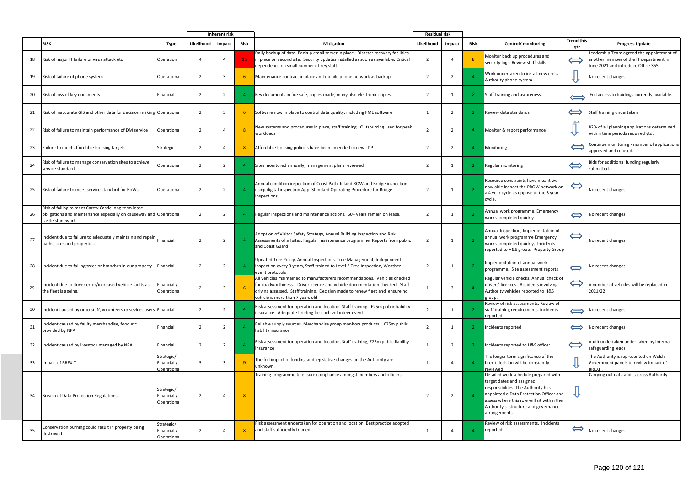|    |                                                                                                                                                | <b>Inherent risk</b>                            |                          |                         |                 | <b>Residual risk</b>                                                                                                                                                                                                                                                          |                |                |                |                                                                                                                                                                                                                                                          |                          |                                                                                                                           |
|----|------------------------------------------------------------------------------------------------------------------------------------------------|-------------------------------------------------|--------------------------|-------------------------|-----------------|-------------------------------------------------------------------------------------------------------------------------------------------------------------------------------------------------------------------------------------------------------------------------------|----------------|----------------|----------------|----------------------------------------------------------------------------------------------------------------------------------------------------------------------------------------------------------------------------------------------------------|--------------------------|---------------------------------------------------------------------------------------------------------------------------|
|    | <b>RISK</b>                                                                                                                                    | Type                                            | Likelihood               | Impact                  | Risk            | <b>Mitigation</b>                                                                                                                                                                                                                                                             | Likelihood     | Impact         | Risk           | Control/ monitoring                                                                                                                                                                                                                                      | <b>Trend this</b><br>qtr | <b>Progress Update</b>                                                                                                    |
| 18 | Risk of major IT failure or virus attack etc                                                                                                   | Operation                                       | 4                        |                         | 16 <sub>1</sub> | Daily backup of data. Backup email server in place. Disaster recovery facilities<br>in place on second site. Security updates installed as soon as available. Critical<br>dependence on small number of key staff.                                                            | 2              |                | -8             | Monitor back up procedures and<br>security logs. Review staff skills.                                                                                                                                                                                    | $\Longleftrightarrow$    | Leadership Team agreed the appointment of<br>another member of the IT department in<br>June 2021 and introduce Office 365 |
| 19 | Risk of failure of phone system                                                                                                                | Operational                                     | $\overline{2}$           | $\overline{\mathbf{3}}$ | -6              | Maintenance contract in place and mobile phone network as backup                                                                                                                                                                                                              | 2              | 2              | $\Delta$       | Work undertaken to install new cross<br>Authority phone system                                                                                                                                                                                           |                          | No recent changes                                                                                                         |
| 20 | Risk of loss of key documents                                                                                                                  | Financial                                       | $\overline{2}$           | 2                       | $\overline{4}$  | Key documents in fire safe, copies made, many also electronic copies.                                                                                                                                                                                                         | 2              |                | $\mathbf{2}$   | Staff training and awareness.                                                                                                                                                                                                                            |                          | Full access to buidings currently available.                                                                              |
| 21 | Risk of inaccurate GIS and other data for decision making Operational                                                                          |                                                 | $\overline{2}$           |                         | -6              | Software now in place to control data quality, including FME software                                                                                                                                                                                                         | 1              | 2              | -2             | Review data standards                                                                                                                                                                                                                                    | $\Longleftrightarrow$    | Staff training undertaken                                                                                                 |
| 22 | Risk of failure to maintain performance of DM service                                                                                          | Operational                                     | $\overline{2}$           |                         |                 | New systems and procedures in place, staff training. Outsourcing used for peak<br>workloads                                                                                                                                                                                   | 2              | 2              | $\overline{4}$ | Monitor & report performance                                                                                                                                                                                                                             |                          | 82% of all planning applications determined<br>within time periods required ytd.                                          |
| 23 | Failure to meet affordable housing targets                                                                                                     | Strategic                                       | $\overline{2}$           |                         | -8              | Affordable housing policies have been amended in new LDP                                                                                                                                                                                                                      | 2              | 2              | -4             | Monitoring                                                                                                                                                                                                                                               | $\Longleftrightarrow$    | Continue monitoring - number of applications<br>approved and refused.                                                     |
| 24 | Risk of failure to manage conservation sites to achieve<br>service standard                                                                    | Operational                                     | $\overline{2}$           | $\overline{2}$          | 4               | Sites monitored annually, management plans reviewed                                                                                                                                                                                                                           | $\overline{2}$ |                | -2             | <b>Regular monitoring</b>                                                                                                                                                                                                                                | $\Longleftrightarrow$    | Bids for additional funding regularly<br>submitted.                                                                       |
| 25 | Risk of failure to meet service standard for RoWs                                                                                              | Operational                                     | $\overline{2}$           | $\overline{2}$          |                 | Annual condition inspection of Coast Path, Inland ROW and Bridge inspection<br>using digital inspection App. Standard Operating Procedure for Bridge<br>Inspections                                                                                                           | $\overline{2}$ |                |                | Resource constraints have meant we<br>now able inspect the PROW network on<br>a 4 year cycle as oppose to the 3 year<br>cycle.                                                                                                                           | $\Leftrightarrow$        | No recent changes                                                                                                         |
| 26 | Risk of failing to meet Carew Castle long term lease<br>obligations and maintenance especially on causeway and Operational<br>castle stonework |                                                 | $\overline{2}$           | $\overline{2}$          |                 | Regular inspections and maintenance actions. 60+ years remain on lease.                                                                                                                                                                                                       | 2              |                |                | Annual work programme. Emergency<br>works completed quickly                                                                                                                                                                                              | $\Leftrightarrow$        | No recent changes                                                                                                         |
| 27 | Incident due to failure to adequately maintain and repair<br>paths, sites and properties                                                       | Financial                                       | $\overline{2}$           | $\overline{2}$          |                 | Adoption of Visitor Safety Strategy, Annual Building Inspection and Risk<br>Assessments of all sites. Regular maintenance programme. Reports from public<br>and Coast Guard                                                                                                   | $\overline{2}$ | 1              | $\overline{2}$ | Annual Inspection, Implementation of<br>annual work programme Emergency<br>works completed quickly, Incidents<br>reported to H&S group. Property Group                                                                                                   | $\Leftrightarrow$        | No recent changes                                                                                                         |
| 28 | Incident due to falling trees or branches in our property                                                                                      | Financial                                       | $\overline{2}$           | $\overline{2}$          |                 | Updated Tree Policy, Annual Inspections, Tree Management, Independent<br>Inspection every 3 years, Staff trained to Level 2 Tree Inspection, Weather<br>event protocols                                                                                                       | 2              |                |                | Implementation of annual work<br>programme. Site assessment reports                                                                                                                                                                                      | $\Leftrightarrow$        | No recent changes                                                                                                         |
| 29 | Incident due to driver error/increased vehicle faults as<br>the fleet is ageing.                                                               | Financial /<br>Operational                      |                          |                         |                 | All vehicles maintained to manufacturers recommendations. Vehicles checked<br>for roadworthiness. Driver licence and vehicle documentation checked. Staff<br>driving assessed. Staff training. Decision made to renew fleet and ensure no<br>vehicle is more than 7 years old | 1              | $\overline{3}$ | - 2            | Regular vehicle checks. Annual check of<br>drivers' licences. Accidents involving<br>Authority vehicles reported to H&S<br>group.                                                                                                                        | $\Leftrightarrow$        | A number of vehicles will be replaced in<br>2021/22                                                                       |
| 30 | Incident caused by or to staff, volunteers or sevices users Financial                                                                          |                                                 | $\overline{2}$           | $\overline{2}$          |                 | Risk assessment for operation and location. Staff training. £25m public liability<br>insurance. Adequate briefing for each volunteer event                                                                                                                                    | $\overline{2}$ |                |                | Review of risk assessments. Review of<br>staff training requirements. Incidents<br>reported.                                                                                                                                                             | $\Longleftrightarrow$    | No recent changes                                                                                                         |
| 31 | Incident caused by faulty merchandise, food etc<br>provided by NPA                                                                             | Financial                                       | $\overline{2}$           | - 2                     |                 | Reliable supply sources. Merchandise group monitors products. £25m public<br>liability insurance                                                                                                                                                                              | 2              | $\overline{1}$ | $\overline{2}$ | Incidents reported                                                                                                                                                                                                                                       | $\Longleftrightarrow$    | No recent changes                                                                                                         |
| 32 | Incident caused by livestock managed by NPA                                                                                                    | Financial                                       | $\overline{2}$           | $\overline{2}$          |                 | Risk assessment for operation and location, Staff training, £25m public liability<br>insurance                                                                                                                                                                                | -1             | 2              | -2             | Incidents reported to H&S officer                                                                                                                                                                                                                        | $\Leftrightarrow$        | Audit undertaken under taken by internal<br>safeguarding leads                                                            |
| 33 | Impact of BREXIT                                                                                                                               | Strategic/<br>Financial /<br><b>Operational</b> | $\mathbf{3}$             |                         | -9              | The full impact of funding and legislative changes on the Authority are<br>unknown.                                                                                                                                                                                           | 1              |                |                | The longer term significance of the<br>brexit decision will be constantly<br>reviewed                                                                                                                                                                    |                          | The Authority is represented on Welsh<br>Government panels to review impact of<br><b>BREXIT.</b>                          |
| 34 | <b>Breach of Data Protection Regulations</b>                                                                                                   | Strategic/<br>Financial /<br>Operational        | $\overline{2}$           | - 4                     | 8               | Training programme to ensure compliance amongst members and officers                                                                                                                                                                                                          | 2              | $\overline{2}$ |                | Detailed work schedule prepared with<br>target dates and assigned<br>responsibilites. The Authority has<br>appointed a Data Protection Officer and<br>assess where this role will sit within the<br>Authority's structure and governance<br>arrangements | ₩                        | Carrying out data audit across Authority.                                                                                 |
| 35 | Conservation burning could result in property being<br>destroyed                                                                               | Strategic/<br>Financial /<br>Operational        | $\overline{\phantom{a}}$ |                         | -8              | Risk assessment undertaken for operation and location. Best practice adopted<br>and staff sufficiently trained                                                                                                                                                                | 1              |                | $\overline{4}$ | Review of risk assessments. Incidents<br>reported.                                                                                                                                                                                                       | $\Leftrightarrow$        | No recent changes                                                                                                         |

# Page 120 of 121